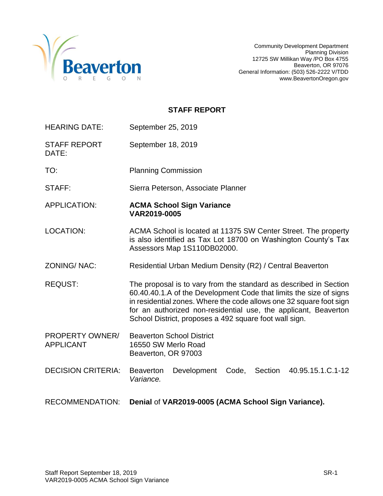

# **STAFF REPORT**

| <b>HEARING DATE:</b>                | September 25, 2019                                                                                                                                                                                                                                                                                                                          |  |  |
|-------------------------------------|---------------------------------------------------------------------------------------------------------------------------------------------------------------------------------------------------------------------------------------------------------------------------------------------------------------------------------------------|--|--|
| <b>STAFF REPORT</b><br>DATE:        | September 18, 2019                                                                                                                                                                                                                                                                                                                          |  |  |
| TO:                                 | <b>Planning Commission</b>                                                                                                                                                                                                                                                                                                                  |  |  |
| STAFF:                              | Sierra Peterson, Associate Planner                                                                                                                                                                                                                                                                                                          |  |  |
| <b>APPLICATION:</b>                 | <b>ACMA School Sign Variance</b><br>VAR2019-0005                                                                                                                                                                                                                                                                                            |  |  |
| LOCATION:                           | ACMA School is located at 11375 SW Center Street. The property<br>is also identified as Tax Lot 18700 on Washington County's Tax<br>Assessors Map 1S110DB02000.                                                                                                                                                                             |  |  |
| ZONING/NAC:                         | Residential Urban Medium Density (R2) / Central Beaverton                                                                                                                                                                                                                                                                                   |  |  |
| <b>REQUST:</b>                      | The proposal is to vary from the standard as described in Section<br>60.40.40.1.A of the Development Code that limits the size of signs<br>in residential zones. Where the code allows one 32 square foot sign<br>for an authorized non-residential use, the applicant, Beaverton<br>School District, proposes a 492 square foot wall sign. |  |  |
| PROPERTY OWNER/<br><b>APPLICANT</b> | <b>Beaverton School District</b><br>16550 SW Merlo Road<br>Beaverton, OR 97003                                                                                                                                                                                                                                                              |  |  |
| <b>DECISION CRITERIA:</b>           | 40.95.15.1.C.1-12<br><b>Beaverton</b><br>Development<br>Code,<br>Section<br>Variance.                                                                                                                                                                                                                                                       |  |  |
| <b>RECOMMENDATION:</b>              | Denial of VAR2019-0005 (ACMA School Sign Variance).                                                                                                                                                                                                                                                                                         |  |  |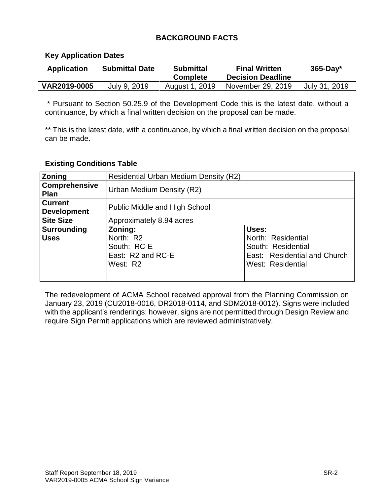# **BACKGROUND FACTS**

## **Key Application Dates**

| <b>Application</b> | <b>Submittal Date</b> | <b>Submittal</b><br><b>Complete</b> | <b>Final Written</b><br><b>Decision Deadline</b> | $365$ -Day*   |
|--------------------|-----------------------|-------------------------------------|--------------------------------------------------|---------------|
| VAR2019-0005       | July 9, 2019          | August 1, 2019                      | November 29, 2019                                | July 31, 2019 |

\* Pursuant to Section 50.25.9 of the Development Code this is the latest date, without a continuance, by which a final written decision on the proposal can be made.

\*\* This is the latest date, with a continuance, by which a final written decision on the proposal can be made.

#### **Existing Conditions Table**

| <b>Zoning</b>                        | <b>Residential Urban Medium Density (R2)</b>                         |                                                                                                        |  |
|--------------------------------------|----------------------------------------------------------------------|--------------------------------------------------------------------------------------------------------|--|
| <b>Comprehensive</b><br><b>Plan</b>  | Urban Medium Density (R2)                                            |                                                                                                        |  |
| <b>Current</b><br><b>Development</b> | Public Middle and High School                                        |                                                                                                        |  |
| <b>Site Size</b>                     | Approximately 8.94 acres                                             |                                                                                                        |  |
| <b>Surrounding</b><br><b>Uses</b>    | Zoning:<br>North: R2<br>South: RC-E<br>East: R2 and RC-E<br>West: R2 | Uses:<br>North: Residential<br>South: Residential<br>East: Residential and Church<br>West: Residential |  |

The redevelopment of ACMA School received approval from the Planning Commission on January 23, 2019 (CU2018-0016, DR2018-0114, and SDM2018-0012). Signs were included with the applicant's renderings; however, signs are not permitted through Design Review and require Sign Permit applications which are reviewed administratively.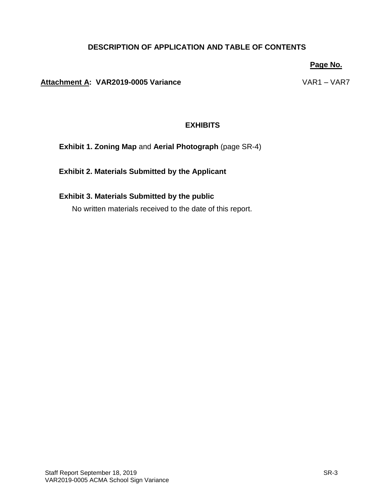# **DESCRIPTION OF APPLICATION AND TABLE OF CONTENTS**

#### **Page No.**

#### **Attachment A: VAR2019-0005 Variance** VAR1 – VAR7

## **EXHIBITS**

**Exhibit 1. Zoning Map** and **Aerial Photograph** (page SR-4)

**Exhibit 2. Materials Submitted by the Applicant**

# **Exhibit 3. Materials Submitted by the public**

No written materials received to the date of this report.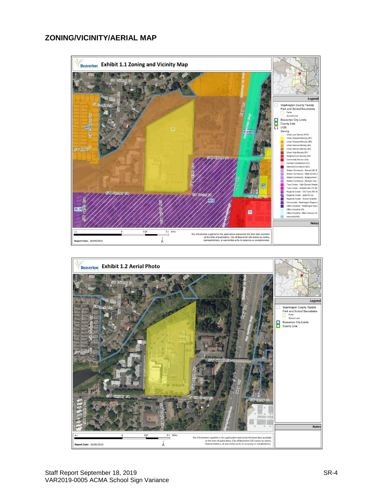## **ZONING/VICINITY/AERIAL MAP**



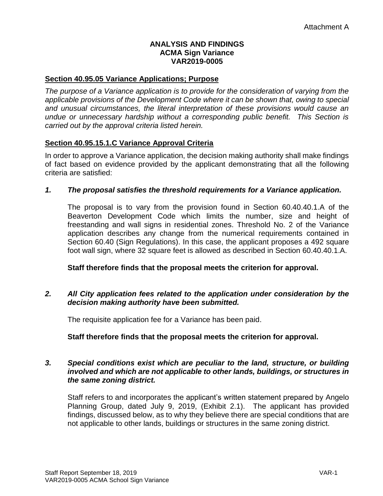## **ANALYSIS AND FINDINGS ACMA Sign Variance VAR2019-0005**

## **Section 40.95.05 Variance Applications; Purpose**

*The purpose of a Variance application is to provide for the consideration of varying from the applicable provisions of the Development Code where it can be shown that, owing to special and unusual circumstances, the literal interpretation of these provisions would cause an undue or unnecessary hardship without a corresponding public benefit. This Section is carried out by the approval criteria listed herein.*

## **Section 40.95.15.1.C Variance Approval Criteria**

In order to approve a Variance application, the decision making authority shall make findings of fact based on evidence provided by the applicant demonstrating that all the following criteria are satisfied:

## *1. The proposal satisfies the threshold requirements for a Variance application.*

The proposal is to vary from the provision found in Section 60.40.40.1.A of the Beaverton Development Code which limits the number, size and height of freestanding and wall signs in residential zones. Threshold No. 2 of the Variance application describes any change from the numerical requirements contained in Section 60.40 (Sign Regulations). In this case, the applicant proposes a 492 square foot wall sign, where 32 square feet is allowed as described in Section 60.40.40.1.A.

#### **Staff therefore finds that the proposal meets the criterion for approval.**

#### *2. All City application fees related to the application under consideration by the decision making authority have been submitted.*

The requisite application fee for a Variance has been paid.

#### **Staff therefore finds that the proposal meets the criterion for approval.**

#### *3. Special conditions exist which are peculiar to the land, structure, or building involved and which are not applicable to other lands, buildings, or structures in the same zoning district.*

Staff refers to and incorporates the applicant's written statement prepared by Angelo Planning Group, dated July 9, 2019, (Exhibit 2.1). The applicant has provided findings, discussed below, as to why they believe there are special conditions that are not applicable to other lands, buildings or structures in the same zoning district.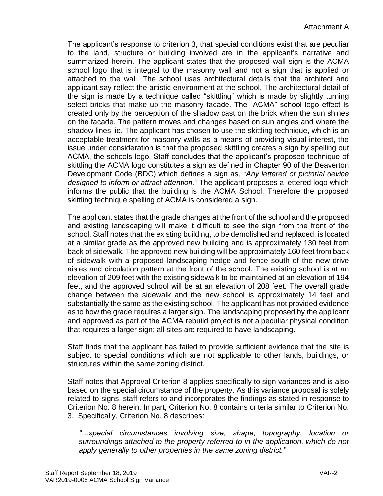The applicant's response to criterion 3, that special conditions exist that are peculiar to the land, structure or building involved are in the applicant's narrative and summarized herein. The applicant states that the proposed wall sign is the ACMA school logo that is integral to the masonry wall and not a sign that is applied or attached to the wall. The school uses architectural details that the architect and applicant say reflect the artistic environment at the school. The architectural detail of the sign is made by a technique called "skittling" which is made by slightly turning select bricks that make up the masonry facade. The "ACMA" school logo effect is created only by the perception of the shadow cast on the brick when the sun shines on the facade. The pattern moves and changes based on sun angles and where the shadow lines lie. The applicant has chosen to use the skittling technique, which is an acceptable treatment for masonry walls as a means of providing visual interest, the issue under consideration is that the proposed skittling creates a sign by spelling out ACMA, the schools logo. Staff concludes that the applicant's proposed technique of skittling the ACMA logo constitutes a sign as defined in Chapter 90 of the Beaverton Development Code (BDC) which defines a sign as, "*Any lettered or pictorial device designed to inform or attract attention."* The applicant proposes a lettered logo which informs the public that the building is the ACMA School. Therefore the proposed skittling technique spelling of ACMA is considered a sign.

The applicant states that the grade changes at the front of the school and the proposed and existing landscaping will make it difficult to see the sign from the front of the school. Staff notes that the existing building, to be demolished and replaced, is located at a similar grade as the approved new building and is approximately 130 feet from back of sidewalk. The approved new building will be approximately 160 feet from back of sidewalk with a proposed landscaping hedge and fence south of the new drive aisles and circulation pattern at the front of the school. The existing school is at an elevation of 209 feet with the existing sidewalk to be maintained at an elevation of 194 feet, and the approved school will be at an elevation of 208 feet. The overall grade change between the sidewalk and the new school is approximately 14 feet and substantially the same as the existing school. The applicant has not provided evidence as to how the grade requires a larger sign. The landscaping proposed by the applicant and approved as part of the ACMA rebuild project is not a peculiar physical condition that requires a larger sign; all sites are required to have landscaping.

Staff finds that the applicant has failed to provide sufficient evidence that the site is subject to special conditions which are not applicable to other lands, buildings, or structures within the same zoning district.

Staff notes that Approval Criterion 8 applies specifically to sign variances and is also based on the special circumstance of the property. As this variance proposal is solely related to signs, staff refers to and incorporates the findings as stated in response to Criterion No. 8 herein. In part, Criterion No. 8 contains criteria similar to Criterion No. 3. Specifically, Criterion No. 8 describes:

*"…special circumstances involving size, shape, topography, location or surroundings attached to the property referred to in the application, which do not apply generally to other properties in the same zoning district."*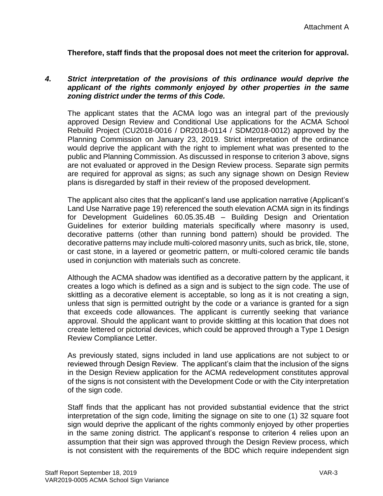**Therefore, staff finds that the proposal does not meet the criterion for approval.**

#### *4. Strict interpretation of the provisions of this ordinance would deprive the applicant of the rights commonly enjoyed by other properties in the same zoning district under the terms of this Code.*

The applicant states that the ACMA logo was an integral part of the previously approved Design Review and Conditional Use applications for the ACMA School Rebuild Project (CU2018-0016 / DR2018-0114 / SDM2018-0012) approved by the Planning Commission on January 23, 2019. Strict interpretation of the ordinance would deprive the applicant with the right to implement what was presented to the public and Planning Commission. As discussed in response to criterion 3 above, signs are not evaluated or approved in the Design Review process. Separate sign permits are required for approval as signs; as such any signage shown on Design Review plans is disregarded by staff in their review of the proposed development.

The applicant also cites that the applicant's land use application narrative (Applicant's Land Use Narrative page 19) referenced the south elevation ACMA sign in its findings for Development Guidelines 60.05.35.4B – Building Design and Orientation Guidelines for exterior building materials specifically where masonry is used, decorative patterns (other than running bond pattern) should be provided. The decorative patterns may include multi-colored masonry units, such as brick, tile, stone, or cast stone, in a layered or geometric pattern, or multi-colored ceramic tile bands used in conjunction with materials such as concrete.

Although the ACMA shadow was identified as a decorative pattern by the applicant, it creates a logo which is defined as a sign and is subject to the sign code. The use of skittling as a decorative element is acceptable, so long as it is not creating a sign, unless that sign is permitted outright by the code or a variance is granted for a sign that exceeds code allowances. The applicant is currently seeking that variance approval. Should the applicant want to provide skittling at this location that does not create lettered or pictorial devices, which could be approved through a Type 1 Design Review Compliance Letter.

As previously stated, signs included in land use applications are not subject to or reviewed through Design Review. The applicant's claim that the inclusion of the signs in the Design Review application for the ACMA redevelopment constitutes approval of the signs is not consistent with the Development Code or with the City interpretation of the sign code.

Staff finds that the applicant has not provided substantial evidence that the strict interpretation of the sign code, limiting the signage on site to one (1) 32 square foot sign would deprive the applicant of the rights commonly enjoyed by other properties in the same zoning district. The applicant's response to criterion 4 relies upon an assumption that their sign was approved through the Design Review process, which is not consistent with the requirements of the BDC which require independent sign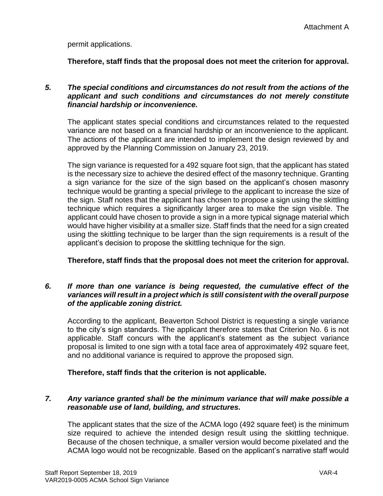permit applications.

**Therefore, staff finds that the proposal does not meet the criterion for approval.**

#### *5. The special conditions and circumstances do not result from the actions of the applicant and such conditions and circumstances do not merely constitute financial hardship or inconvenience.*

The applicant states special conditions and circumstances related to the requested variance are not based on a financial hardship or an inconvenience to the applicant. The actions of the applicant are intended to implement the design reviewed by and approved by the Planning Commission on January 23, 2019.

The sign variance is requested for a 492 square foot sign, that the applicant has stated is the necessary size to achieve the desired effect of the masonry technique. Granting a sign variance for the size of the sign based on the applicant's chosen masonry technique would be granting a special privilege to the applicant to increase the size of the sign. Staff notes that the applicant has chosen to propose a sign using the skittling technique which requires a significantly larger area to make the sign visible. The applicant could have chosen to provide a sign in a more typical signage material which would have higher visibility at a smaller size. Staff finds that the need for a sign created using the skittling technique to be larger than the sign requirements is a result of the applicant's decision to propose the skittling technique for the sign.

**Therefore, staff finds that the proposal does not meet the criterion for approval.**

## *6. If more than one variance is being requested, the cumulative effect of the variances will result in a project which is still consistent with the overall purpose of the applicable zoning district.*

According to the applicant, Beaverton School District is requesting a single variance to the city's sign standards. The applicant therefore states that Criterion No. 6 is not applicable. Staff concurs with the applicant's statement as the subject variance proposal is limited to one sign with a total face area of approximately 492 square feet, and no additional variance is required to approve the proposed sign.

**Therefore, staff finds that the criterion is not applicable.**

# *7. Any variance granted shall be the minimum variance that will make possible a reasonable use of land, building, and structures.*

The applicant states that the size of the ACMA logo (492 square feet) is the minimum size required to achieve the intended design result using the skittling technique. Because of the chosen technique, a smaller version would become pixelated and the ACMA logo would not be recognizable. Based on the applicant's narrative staff would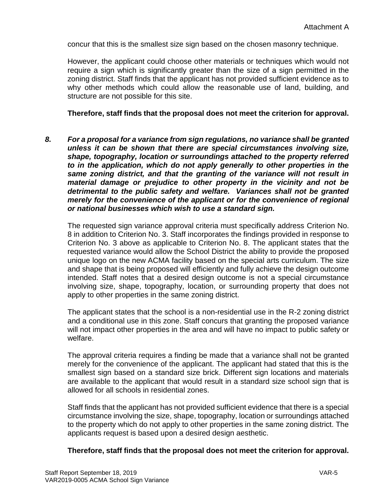concur that this is the smallest size sign based on the chosen masonry technique.

However, the applicant could choose other materials or techniques which would not require a sign which is significantly greater than the size of a sign permitted in the zoning district. Staff finds that the applicant has not provided sufficient evidence as to why other methods which could allow the reasonable use of land, building, and structure are not possible for this site.

#### **Therefore, staff finds that the proposal does not meet the criterion for approval.**

*8. For a proposal for a variance from sign regulations, no variance shall be granted unless it can be shown that there are special circumstances involving size, shape, topography, location or surroundings attached to the property referred to in the application, which do not apply generally to other properties in the same zoning district, and that the granting of the variance will not result in material damage or prejudice to other property in the vicinity and not be detrimental to the public safety and welfare. Variances shall not be granted merely for the convenience of the applicant or for the convenience of regional or national businesses which wish to use a standard sign.*

The requested sign variance approval criteria must specifically address Criterion No. 8 in addition to Criterion No. 3. Staff incorporates the findings provided in response to Criterion No. 3 above as applicable to Criterion No. 8. The applicant states that the requested variance would allow the School District the ability to provide the proposed unique logo on the new ACMA facility based on the special arts curriculum. The size and shape that is being proposed will efficiently and fully achieve the design outcome intended. Staff notes that a desired design outcome is not a special circumstance involving size, shape, topography, location, or surrounding property that does not apply to other properties in the same zoning district.

The applicant states that the school is a non-residential use in the R-2 zoning district and a conditional use in this zone. Staff concurs that granting the proposed variance will not impact other properties in the area and will have no impact to public safety or welfare.

The approval criteria requires a finding be made that a variance shall not be granted merely for the convenience of the applicant. The applicant had stated that this is the smallest sign based on a standard size brick. Different sign locations and materials are available to the applicant that would result in a standard size school sign that is allowed for all schools in residential zones.

Staff finds that the applicant has not provided sufficient evidence that there is a special circumstance involving the size, shape, topography, location or surroundings attached to the property which do not apply to other properties in the same zoning district. The applicants request is based upon a desired design aesthetic.

#### **Therefore, staff finds that the proposal does not meet the criterion for approval.**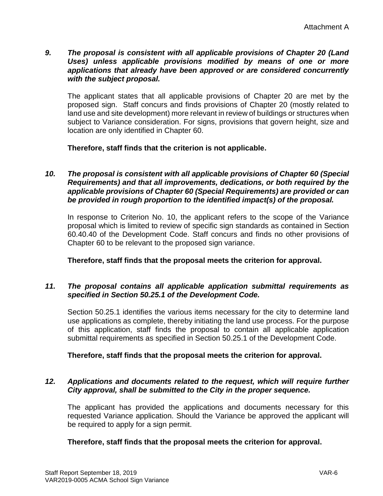## *9. The proposal is consistent with all applicable provisions of Chapter 20 (Land Uses) unless applicable provisions modified by means of one or more applications that already have been approved or are considered concurrently with the subject proposal.*

The applicant states that all applicable provisions of Chapter 20 are met by the proposed sign. Staff concurs and finds provisions of Chapter 20 (mostly related to land use and site development) more relevant in review of buildings or structures when subject to Variance consideration. For signs, provisions that govern height, size and location are only identified in Chapter 60.

**Therefore, staff finds that the criterion is not applicable.**

## *10. The proposal is consistent with all applicable provisions of Chapter 60 (Special Requirements) and that all improvements, dedications, or both required by the applicable provisions of Chapter 60 (Special Requirements) are provided or can be provided in rough proportion to the identified impact(s) of the proposal.*

In response to Criterion No. 10, the applicant refers to the scope of the Variance proposal which is limited to review of specific sign standards as contained in Section 60.40.40 of the Development Code. Staff concurs and finds no other provisions of Chapter 60 to be relevant to the proposed sign variance.

**Therefore, staff finds that the proposal meets the criterion for approval.**

## *11. The proposal contains all applicable application submittal requirements as specified in Section 50.25.1 of the Development Code.*

Section 50.25.1 identifies the various items necessary for the city to determine land use applications as complete, thereby initiating the land use process. For the purpose of this application, staff finds the proposal to contain all applicable application submittal requirements as specified in Section 50.25.1 of the Development Code.

# **Therefore, staff finds that the proposal meets the criterion for approval.**

## *12. Applications and documents related to the request, which will require further City approval, shall be submitted to the City in the proper sequence.*

The applicant has provided the applications and documents necessary for this requested Variance application. Should the Variance be approved the applicant will be required to apply for a sign permit.

# **Therefore, staff finds that the proposal meets the criterion for approval.**